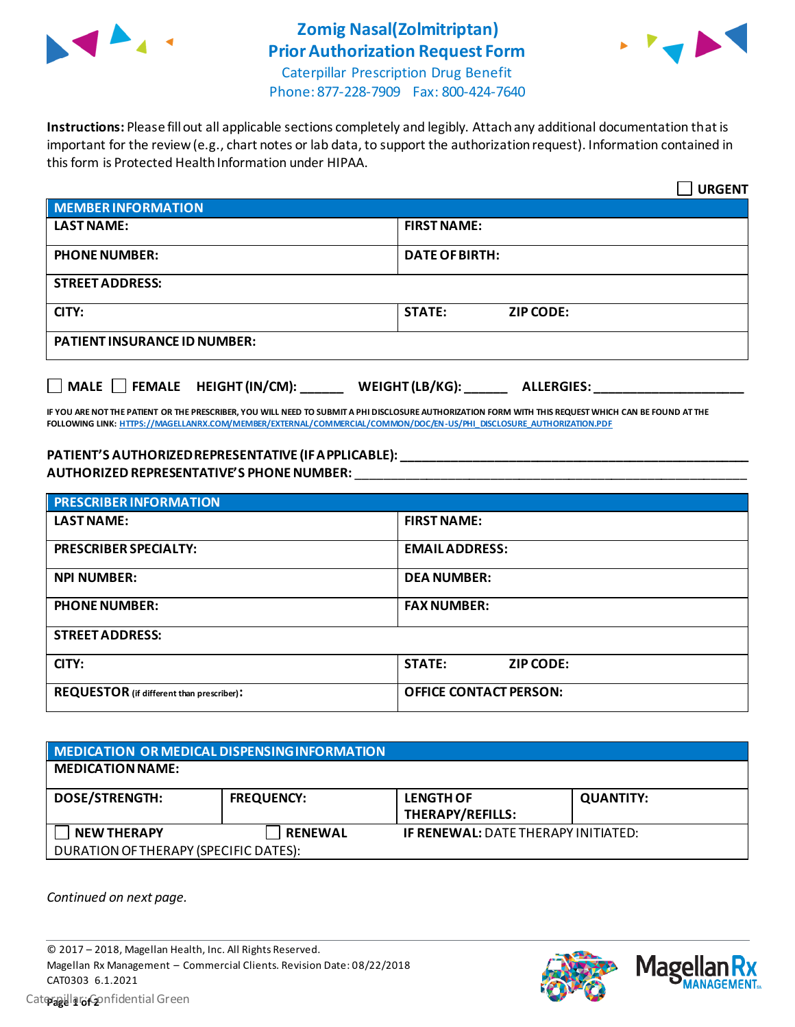

## **Zomig Nasal(Zolmitriptan) Prior Authorization Request Form**



Caterpillar Prescription Drug Benefit Phone: 877-228-7909 Fax: 800-424-7640

**Instructions:** Please fill out all applicable sections completely and legibly. Attach any additional documentation that is important for the review (e.g., chart notes or lab data, to support the authorization request). Information contained in this form is Protected Health Information under HIPAA.

|                                                                                   | <b>URGENT</b>                     |  |  |  |
|-----------------------------------------------------------------------------------|-----------------------------------|--|--|--|
| <b>MEMBER INFORMATION</b>                                                         |                                   |  |  |  |
| <b>LAST NAME:</b>                                                                 | <b>FIRST NAME:</b>                |  |  |  |
| <b>PHONE NUMBER:</b>                                                              | <b>DATE OF BIRTH:</b>             |  |  |  |
| <b>STREET ADDRESS:</b>                                                            |                                   |  |  |  |
| CITY:                                                                             | <b>STATE:</b><br><b>ZIP CODE:</b> |  |  |  |
| <b>PATIENT INSURANCE ID NUMBER:</b>                                               |                                   |  |  |  |
| $\Box$ MALE $\Box$ FEMALE HEIGHT (IN/CM):<br>WEIGHT (LB/KG):<br><b>ALLERGIES:</b> |                                   |  |  |  |

**IF YOU ARE NOT THE PATIENT OR THE PRESCRIBER, YOU WILL NEED TO SUBMIT A PHI DISCLOSURE AUTHORIZATION FORM WITH THIS REQUEST WHICH CAN BE FOUND AT THE FOLLOWING LINK[: HTTPS://MAGELLANRX.COM/MEMBER/EXTERNAL/COMMERCIAL/COMMON/DOC/EN-US/PHI\\_DISCLOSURE\\_AUTHORIZATION.PDF](https://magellanrx.com/member/external/commercial/common/doc/en-us/PHI_Disclosure_Authorization.pdf)**

## **PATIENT'S AUTHORIZED REPRESENTATIVE (IF APPLICABLE): \_\_\_\_\_\_\_\_\_\_\_\_\_\_\_\_\_\_\_\_\_\_\_\_\_\_\_\_\_\_\_\_\_\_\_\_\_\_\_\_\_\_\_\_\_\_\_\_\_ AUTHORIZED REPRESENTATIVE'S PHONE NUMBER:** \_\_\_\_\_\_\_\_\_\_\_\_\_\_\_\_\_\_\_\_\_\_\_\_\_\_\_\_\_\_\_\_\_\_\_\_\_\_\_\_\_\_\_\_\_\_\_\_\_\_\_\_\_\_\_

| <b>PRESCRIBER INFORMATION</b>             |                               |  |
|-------------------------------------------|-------------------------------|--|
| <b>LAST NAME:</b>                         | <b>FIRST NAME:</b>            |  |
| <b>PRESCRIBER SPECIALTY:</b>              | <b>EMAIL ADDRESS:</b>         |  |
| <b>NPI NUMBER:</b>                        | <b>DEA NUMBER:</b>            |  |
| <b>PHONE NUMBER:</b>                      | <b>FAX NUMBER:</b>            |  |
| <b>STREET ADDRESS:</b>                    |                               |  |
| CITY:                                     | <b>STATE:</b><br>ZIP CODE:    |  |
| REQUESTOR (if different than prescriber): | <b>OFFICE CONTACT PERSON:</b> |  |

| MEDICATION OR MEDICAL DISPENSING INFORMATION |                   |                                            |                  |  |  |
|----------------------------------------------|-------------------|--------------------------------------------|------------------|--|--|
| <b>MEDICATION NAME:</b>                      |                   |                                            |                  |  |  |
| <b>DOSE/STRENGTH:</b>                        | <b>FREQUENCY:</b> | <b>LENGTH OF</b><br>THERAPY/REFILLS:       | <b>QUANTITY:</b> |  |  |
| <b>NEW THERAPY</b>                           | <b>RENEWAL</b>    | <b>IF RENEWAL: DATE THERAPY INITIATED:</b> |                  |  |  |
| DURATION OF THERAPY (SPECIFIC DATES):        |                   |                                            |                  |  |  |

*Continued on next page.*